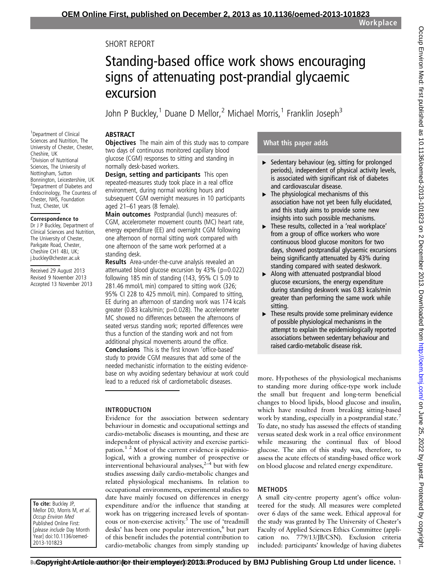# SHORT REPORT

# Standing-based office work shows encouraging signs of attenuating post-prandial glycaemic excursion

John P Buckley,<sup>1</sup> Duane D Mellor,<sup>2</sup> Michael Morris,<sup>1</sup> Franklin Joseph<sup>3</sup>

## ABSTRACT

<sup>1</sup>Department of Clinical Sciences and Nutrition, The University of Chester, Chester, Cheshire, UK 2 Division of Nutritional Sciences, The University of Nottingham, Sutton Bonnington, Leicestershire, UK <sup>3</sup>Department of Diabetes and Endocrinology, The Countess of Chester, NHS, Foundation Trust, Chester, UK

#### Correspondence to

Dr J P Buckley, Department of Clinical Sciences and Nutrition, The University of Chester, Parkgate Road, Chester, Cheshire CH1 4BJ, UK; j.buckley@chester.ac.uk

Received 29 August 2013 Revised 9 November 2013 Accepted 13 November 2013 **Objectives** The main aim of this study was to compare two days of continuous monitored capillary blood glucose (CGM) responses to sitting and standing in normally desk-based workers.

Design, setting and participants This open repeated-measures study took place in a real office environment, during normal working hours and subsequent CGM overnight measures in 10 participants aged 21–61 years (8 female).

Main outcomes Postprandial (lunch) measures of: CGM, accelerometer movement counts (MC) heart rate, energy expenditure (EE) and overnight CGM following one afternoon of normal sitting work compared with one afternoon of the same work performed at a standing desk.

Results Area-under-the-curve analysis revealed an attenuated blood glucose excursion by  $43\%$  (p=0.022) following 185 min of standing (143, 95% CI 5.09 to 281.46 mmol/L min) compared to sitting work (326; 95% CI 228 to 425 mmol/L min). Compared to sitting, EE during an afternoon of standing work was 174 kcals greater (0.83 kcals/min; p=0.028). The accelerometer MC showed no differences between the afternoons of seated versus standing work; reported differences were thus a function of the standing work and not from additional physical movements around the office. Conclusions This is the first known 'office-based' study to provide CGM measures that add some of the needed mechanistic information to the existing evidencebase on why avoiding sedentary behaviour at work could lead to a reduced risk of cardiometabolic diseases.

## INTRODUCTION

Evidence for the association between sedentary behaviour in domestic and occupational settings and cardio-metabolic diseases is mounting, and these are independent of physical activity and exercise participation.<sup>1 2</sup> Most of the current evidence is epidemiological, with a growing number of prospective or interventional behavioural analyses, $2\overline{4}$  but with few studies assessing daily cardio-metabolic changes and related physiological mechanisms. In relation to occupational environments, experimental studies to date have mainly focused on differences in energy expenditure and/or the influence that standing at work has on triggering increased levels of spontaneous or non-exercise activity.<sup>5</sup> The use of 'treadmill desks' has been one popular intervention,<sup>6</sup> but part of this benefit includes the potential contribution to cardio-metabolic changes from simply standing up

## What this paper adds

- $\triangleright$  Sedentary behaviour (eg, sitting for prolonged periods), independent of physical activity levels, is associated with significant risk of diabetes and cardiovascular disease.
- $\blacktriangleright$  The physiological mechanisms of this association have not yet been fully elucidated, and this study aims to provide some new insights into such possible mechanisms.
- ▸ These results, collected in a 'real workplace' from a group of office workers who wore continuous blood glucose monitors for two days, showed postprandial glycaemic excursions being significantly attenuated by 43% during standing compared with seated deskwork.
- ▶ Along with attenuated postprandial blood glucose excursions, the energy expenditure during standing deskwork was 0.83 kcals/min greater than performing the same work while sitting.
- $\blacktriangleright$  These results provide some preliminary evidence of possible physiological mechanisms in the attempt to explain the epidemiologically reported associations between sedentary behaviour and raised cardio-metabolic disease risk.

more. Hypotheses of the physiological mechanisms to standing more during office-type work include the small but frequent and long-term beneficial changes to blood lipids, blood glucose and insulin, which have resulted from breaking sitting-based work by standing, especially in a postprandial state.<sup>7</sup> To date, no study has assessed the effects of standing versus seated desk work in a real office environment while measuring the continual flux of blood glucose. The aim of this study was, therefore, to assess the acute effects of standing-based office work on blood glucose and related energy expenditure.

# **METHODS**

A small city-centre property agent's office volunteered for the study. All measures were completed over 6 days of the same week. Ethical approval for the study was granted by The University of Chester's Faculty of Applied Sciences Ethics Committee (application no. 779/13/JB/CSN). Exclusion criteria included: participants' knowledge of having diabetes

To cite: Buckley JP, Mellor DD, Morris M, et al. Occup Environ Med Published Online First: [please include Day Month Year] doi:10.1136/oemed-2013-101823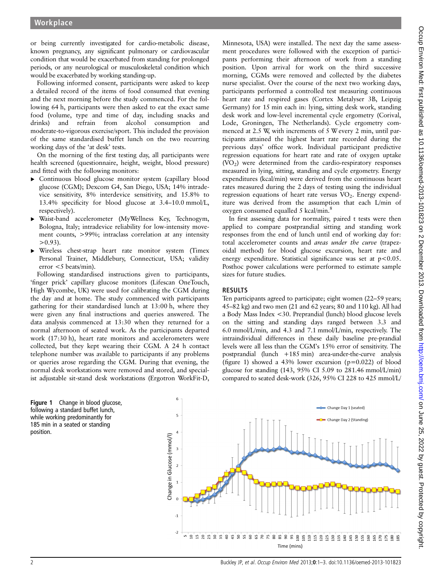or being currently investigated for cardio-metabolic disease, known pregnancy, any significant pulmonary or cardiovascular condition that would be exacerbated from standing for prolonged periods, or any neurological or musculoskeletal condition which would be exacerbated by working standing-up.

Following informed consent, participants were asked to keep a detailed record of the items of food consumed that evening and the next morning before the study commenced. For the following 64 h, participants were then asked to eat the exact same food (volume, type and time of day, including snacks and drinks) and refrain from alcohol consumption and moderate-to-vigorous exercise/sport. This included the provision of the same standardised buffet lunch on the two recurring working days of the 'at desk' tests.

On the morning of the first testing day, all participants were health screened (questionnaire, height, weight, blood pressure) and fitted with the following monitors:

- ▸ Continuous blood glucose monitor system (capillary blood glucose (CGM); Dexcom G4, San Diego, USA; 14% intradevice sensitivity, 8% interdevice sensitivity, and 15.8% to 13.4% specificity for blood glucose at 3.4–10.0 mmol/L, respectively).
- Waist-band accelerometer (MyWellness Key, Technogym, Bologna, Italy; intradevice reliability for low-intensity movement counts, >99%; intraclass correlation at any intensity  $>0.93$ ).
- Wireless chest-strap heart rate monitor system (Timex Personal Trainer, Middlebury, Connecticut, USA; validity  $error < 5$  beats/min).

Following standardised instructions given to participants, 'finger prick' capillary glucose monitors (Lifescan OneTouch, High Wycombe, UK) were used for calibrating the CGM during the day and at home. The study commenced with participants gathering for their standardised lunch at 13:00 h, where they were given any final instructions and queries answered. The data analysis commenced at 13:30 when they returned for a normal afternoon of seated work. As the participants departed work (17:30 h), heart rate monitors and accelerometers were collected, but they kept wearing their CGM. A 24 h contact telephone number was available to participants if any problems or queries arose regarding the CGM. During that evening, the normal desk workstations were removed and stored, and specialist adjustable sit-stand desk workstations (Ergotron WorkFit-D,

Figure 1 Change in blood glucose, following a standard buffet lunch, while working predominantly for 185 min in a seated or standing position.

Minnesota, USA) were installed. The next day the same assessment procedures were followed with the exception of participants performing their afternoon of work from a standing position. Upon arrival for work on the third successive morning, CGMs were removed and collected by the diabetes nurse specialist. Over the course of the next two working days, participants performed a controlled test measuring continuous heart rate and respired gases (Cortex Metalyser 3B, Leipzig Germany) for 15 min each in: lying, sitting desk work, standing desk work and low-level incremental cycle ergometry (Corival, Lode, Groningen, The Netherlands). Cycle ergometry commenced at 2.5 W, with increments of 5 W every 2 min, until participants attained the highest heart rate recorded during the previous days' office work. Individual participant predictive regression equations for heart rate and rate of oxygen uptake  $(VO<sub>2</sub>)$  were determined from the cardio-respiratory responses measured in lying, sitting, standing and cycle ergometry. Energy expenditures (kcal/min) were derived from the continuous heart rates measured during the 2 days of testing using the individual regression equations of heart rate versus  $VO<sub>2</sub>$ . Energy expenditure was derived from the assumption that each L/min of oxygen consumed equalled 5 kcal/min.<sup>8</sup>

In first assessing data for normality, paired t tests were then applied to compare postprandial sitting and standing work responses from the end of lunch until end of working day for: total accelerometer counts and areas under the curve (trapezoidal method) for blood glucose excursion, heart rate and energy expenditure. Statistical significance was set at  $p < 0.05$ . Posthoc power calculations were performed to estimate sample sizes for future studies.

## RESULTS

Ten participants agreed to participate; eight women (22–59 years; 45–82 kg) and two men (21 and 62 years; 80 and 110 kg). All had a Body Mass Index <30. Preprandial (lunch) blood glucose levels on the sitting and standing days ranged between 3.3 and 6.0 mmol/L/min, and 4.3 and 7.1 mmol/L/min, respectively. The intraindividual differences in these daily baseline pre-prandial levels were all less than the CGM's 15% error of sensitivity. The postprandial (lunch +185 min) area-under-the-curve analysis (figure 1) showed a 43% lower excursion ( $p=0.022$ ) of blood glucose for standing (143, 95% CI 5.09 to 281.46 mmol/L/min) compared to seated desk-work (326, 95% CI 228 to 425 mmol/L/